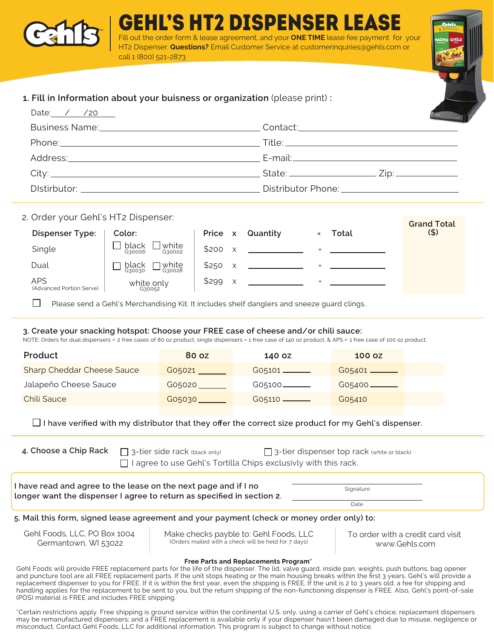

EHL'S HT2 DISPENSER LEA t the order form & lease agreement, and your **ONE TIME** lease fee payment for your HT2 Dispenser. **Questions?** Email Customer Service at customerinquiries@gehls.com or call 1 (800) 521-2873

# **1. Fill in Information about your buisness or organization** (please print) **:**

| Date: $\angle$ /20 |                                                                                                                 |
|--------------------|-----------------------------------------------------------------------------------------------------------------|
|                    |                                                                                                                 |
|                    |                                                                                                                 |
|                    |                                                                                                                 |
|                    | State: $\frac{Zip!}{\sqrt{2p!}}$                                                                                |
|                    | Distributor Phone: 2000 2000 2010 2010 2020 2020 2021 2022 2021 2022 2021 2022 2022 2023 2024 2022 2022 2023 20 |

## 2. Order your Gehl's HT2 Dispenser:

| <b>Dispenser Type:</b>                 | Color:                             | Price<br>$\boldsymbol{\mathsf{x}}$ | Quantity |     | Total | Grand Total<br>(5) |
|----------------------------------------|------------------------------------|------------------------------------|----------|-----|-------|--------------------|
| Single                                 | white<br>black<br>G30006<br>G30002 | \$200<br>X                         |          | $=$ |       |                    |
| Dual                                   | white<br>black<br>G30028<br>G30030 | \$250<br>X                         |          | $=$ |       |                    |
| <b>APS</b><br>(Advanced Portion Serve) | white only<br>G30052               | \$299<br>X                         |          | $=$ |       |                    |

П Please send a Gehl's Merchandising Kit. It includes shelf danglers and sneeze guard clings.

### **3. Create your snacking hotspot: Choose your FREE case of cheese and/or chili sauce:**

NOTE: Orders for dual dispensers = 2 free cases of 80 oz product, single dispensers = 1 free case of 140 oz product. & APS = 1 free case of 100 oz product.

| 80 oz  | 140 OZ     | 100 oz     |
|--------|------------|------------|
| G05021 |            |            |
| G05020 |            | $G05400$ — |
| G05030 | $G05110$ — | G05410     |
|        |            |            |

 $\Box$  I have verified with my distributor that they offer the correct size product for my Gehl's dispenser.

| 4. Choose a Chip Rack $\Box$ 3-tier side rack (black only)             | 3-tier dispenser top rack (white or black) |  |  |
|------------------------------------------------------------------------|--------------------------------------------|--|--|
| $\Box$ I agree to use Gehl's Tortilla Chips exclusivly with this rack. |                                            |  |  |

I have read and agree to the lease on the next page and if I no **Fall and Solut and Separature**<br>longer want the dispenser I agree to return as specified in section 2.

Date

**5. Mail this form, signed lease agreement and your payment (check or money order only) to:**

Gehl Foods, LLC, PO Box 1004 Germantown, WI 53022

Make checks payble to: Gehl Foods, LLC (Orders mailed with a check will be held for 7 days)

To order with a credit card visit www.Gehls.com

**Grand Total**

#### **Free Parts and Replacements Program\***

Gehl Foods will provide FREE replacement parts for the life of the dispenser. The lid, valve guard, inside pan, weights, push buttons, bag opener and puncture tool are all FREE replacement parts. If the unit stops heating or the main housing breaks within the first 3 years, Gehl's will provide a replacement dispenser to you for FREE. If it is within the first year, even the shipping is FREE. If the unit is 2 to 3 years old, a fee for shipping and handling applies for the replacement to be sent to you, but the return shipping of the non-functioning dispenser is FREE. Also, Gehl's point-of-sale (POS) material is FREE and includes FREE shipping.

\*Certain restrictions apply. Free shipping is ground service within the continental U.S. only, using a carrier of Gehl's choice; replacement dispensers may be remanufactured dispensers; and a FREE replacement is available only if your dispenser hasn't been damaged due to misuse, negligence or misconduct. Contact Gehl Foods, LLC for additional information. This program is subject to change without notice.